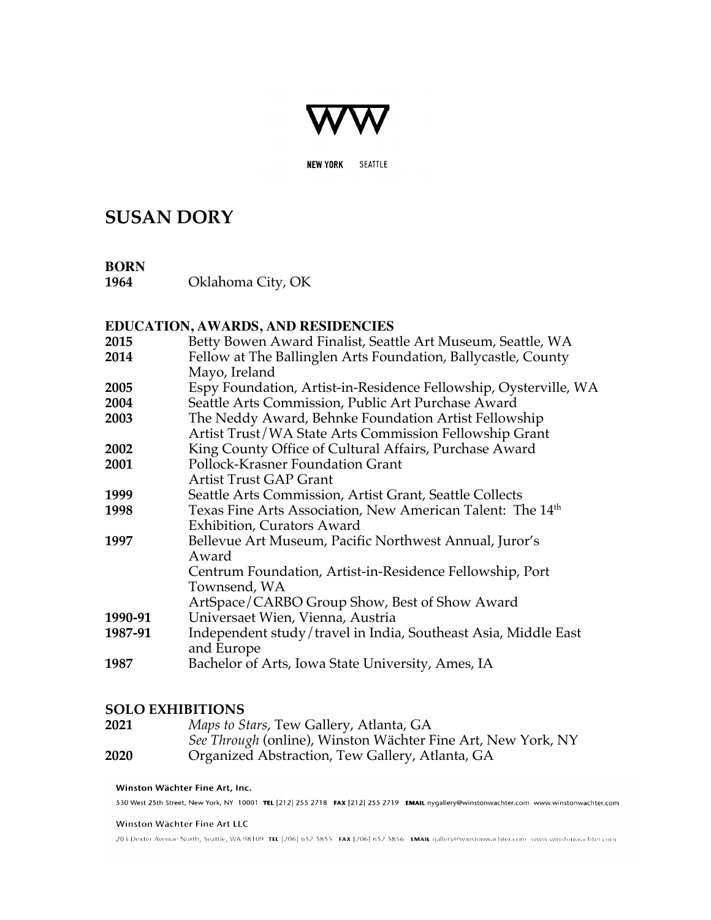

**NEW YORK** SEATTLE

# **SUSAN DORY**

## **BORN**

**1964** Oklahoma City, OK

# **EDUCATION, AWARDS, AND RESIDENCIES**

**2015** Betty Bowen Award Finalist, Seattle Art Museum, Seattle, WA **2014** Fellow at The Ballinglen Arts Foundation, Ballycastle, County Mayo, Ireland **2005** Espy Foundation, Artist-in-Residence Fellowship, Oysterville, WA **2004** Seattle Arts Commission, Public Art Purchase Award **2003** The Neddy Award, Behnke Foundation Artist Fellowship Artist Trust/WA State Arts Commission Fellowship Grant **2002** King County Office of Cultural Affairs, Purchase Award **2001** Pollock-Krasner Foundation Grant Artist Trust GAP Grant **1999** Seattle Arts Commission, Artist Grant, Seattle Collects **1998** Texas Fine Arts Association, New American Talent: The 14<sup>th</sup> Exhibition, Curators Award **1997** Bellevue Art Museum, Pacific Northwest Annual, Juror's Award Centrum Foundation, Artist-in-Residence Fellowship, Port Townsend, WA ArtSpace/CARBO Group Show, Best of Show Award **1990-91** Universaet Wien, Vienna, Austria **1987-91** Independent study/travel in India, Southeast Asia, Middle East and Europe **1987** Bachelor of Arts, Iowa State University, Ames, IA

# **SOLO EXHIBITIONS**

| 2021 | Maps to Stars, Tew Gallery, Atlanta, GA                      |
|------|--------------------------------------------------------------|
|      | See Through (online), Winston Wächter Fine Art, New York, NY |
| 2020 | Organized Abstraction, Tew Gallery, Atlanta, GA              |

# Winston Wächter Fine Art, Inc. 530 West 25th Street, New York, NY 10001 TEL [212] 255 2718 FAX [212] 255 2719 EMAIL nygallery@winstonwachter.com www.winstonwachter.com Winston Wächter Fine Art LLC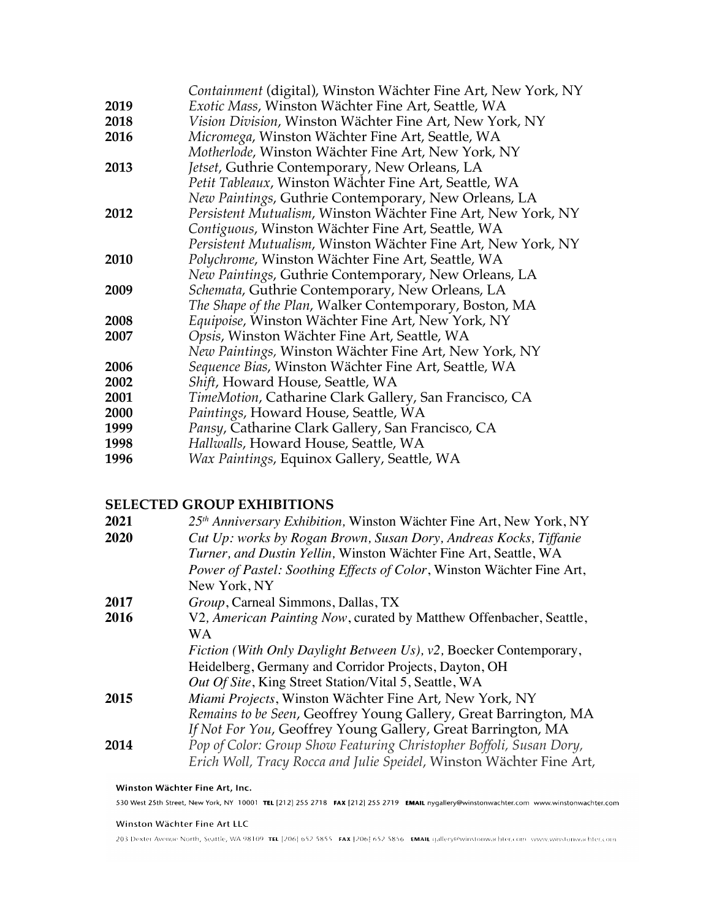|      | <i>Containment</i> (digital), Winston Wächter Fine Art, New York, NY |
|------|----------------------------------------------------------------------|
| 2019 | Exotic Mass, Winston Wächter Fine Art, Seattle, WA                   |
| 2018 | Vision Division, Winston Wächter Fine Art, New York, NY              |
| 2016 | Micromega, Winston Wächter Fine Art, Seattle, WA                     |
|      | Motherlode, Winston Wächter Fine Art, New York, NY                   |
| 2013 | Jetset, Guthrie Contemporary, New Orleans, LA                        |
|      | Petit Tableaux, Winston Wächter Fine Art, Seattle, WA                |
|      | New Paintings, Guthrie Contemporary, New Orleans, LA                 |
| 2012 | Persistent Mutualism, Winston Wächter Fine Art, New York, NY         |
|      | Contiguous, Winston Wächter Fine Art, Seattle, WA                    |
|      | Persistent Mutualism, Winston Wächter Fine Art, New York, NY         |
| 2010 | Polychrome, Winston Wächter Fine Art, Seattle, WA                    |
|      | New Paintings, Guthrie Contemporary, New Orleans, LA                 |
| 2009 | Schemata, Guthrie Contemporary, New Orleans, LA                      |
|      | The Shape of the Plan, Walker Contemporary, Boston, MA               |
| 2008 | Equipoise, Winston Wächter Fine Art, New York, NY                    |
| 2007 | Opsis, Winston Wächter Fine Art, Seattle, WA                         |
|      | New Paintings, Winston Wächter Fine Art, New York, NY                |
| 2006 | Sequence Bias, Winston Wächter Fine Art, Seattle, WA                 |
| 2002 | Shift, Howard House, Seattle, WA                                     |
| 2001 | TimeMotion, Catharine Clark Gallery, San Francisco, CA               |
| 2000 | Paintings, Howard House, Seattle, WA                                 |
| 1999 | Pansy, Catharine Clark Gallery, San Francisco, CA                    |
| 1998 | Hallwalls, Howard House, Seattle, WA                                 |
| 1996 | Wax Paintings, Equinox Gallery, Seattle, WA                          |
|      |                                                                      |

### **SELECTED GROUP EXHIBITIONS**

| 2021 | 25 <sup>th</sup> Anniversary Exhibition, Winston Wächter Fine Art, New York, NY |
|------|---------------------------------------------------------------------------------|
| 2020 | Cut Up: works by Rogan Brown, Susan Dory, Andreas Kocks, Tiffanie               |
|      | Turner, and Dustin Yellin, Winston Wächter Fine Art, Seattle, WA                |
|      | Power of Pastel: Soothing Effects of Color, Winston Wächter Fine Art,           |
|      | New York, NY                                                                    |
| 2017 | Group, Carneal Simmons, Dallas, TX                                              |
| 2016 | V2, American Painting Now, curated by Matthew Offenbacher, Seattle,             |
|      | WА                                                                              |
|      | Fiction (With Only Daylight Between Us), v2, Boecker Contemporary,              |
|      | Heidelberg, Germany and Corridor Projects, Dayton, OH                           |
|      | Out Of Site, King Street Station/Vital 5, Seattle, WA                           |
| 2015 | Miami Projects, Winston Wächter Fine Art, New York, NY                          |
|      | Remains to be Seen, Geoffrey Young Gallery, Great Barrington, MA                |
|      | If Not For You, Geoffrey Young Gallery, Great Barrington, MA                    |
| 2014 | Pop of Color: Group Show Featuring Christopher Boffoli, Susan Dory,             |
|      | Erich Woll, Tracy Rocca and Julie Speidel, Winston Wächter Fine Art,            |
|      |                                                                                 |

### Winston Wächter Fine Art, Inc. 530 West 25th Street, New York, NY 10001 TEL [212] 255 2718 FAX [212] 255 2719 EMAIL nygallery@winstonwachter.com www.winstonwachter.com

### Winston Wächter Fine Art LLC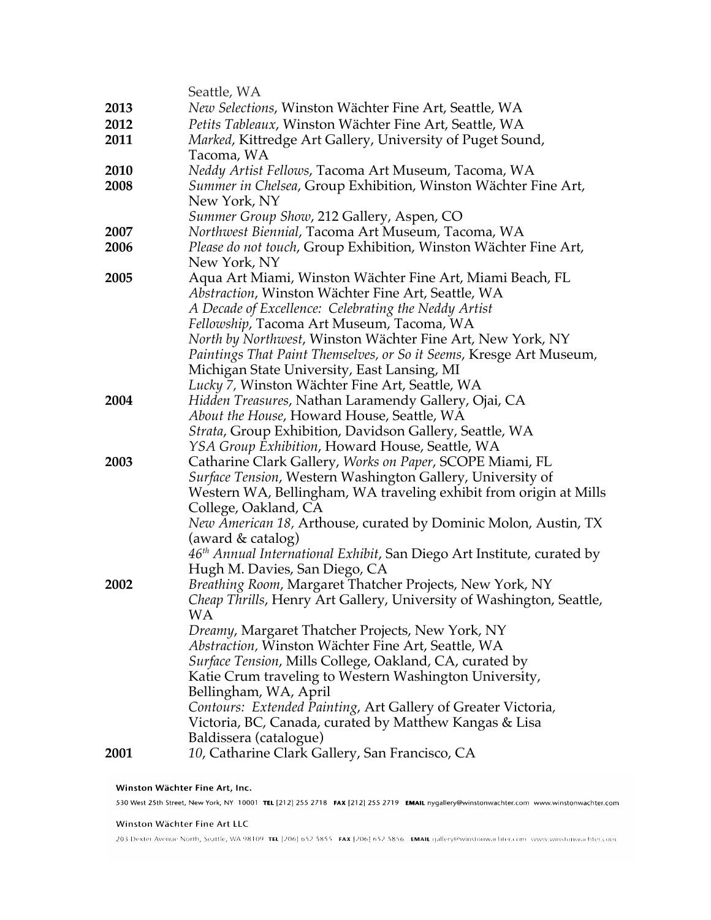|      | Seattle, WA                                                                        |
|------|------------------------------------------------------------------------------------|
| 2013 | New Selections, Winston Wächter Fine Art, Seattle, WA                              |
| 2012 | Petits Tableaux, Winston Wächter Fine Art, Seattle, WA                             |
| 2011 | Marked, Kittredge Art Gallery, University of Puget Sound,                          |
|      | Tacoma, WA                                                                         |
| 2010 | Neddy Artist Fellows, Tacoma Art Museum, Tacoma, WA                                |
| 2008 | Summer in Chelsea, Group Exhibition, Winston Wächter Fine Art,                     |
|      | New York, NY                                                                       |
|      | Summer Group Show, 212 Gallery, Aspen, CO                                          |
| 2007 | Northwest Biennial, Tacoma Art Museum, Tacoma, WA                                  |
| 2006 | Please do not touch, Group Exhibition, Winston Wächter Fine Art,                   |
|      | New York, NY                                                                       |
| 2005 | Aqua Art Miami, Winston Wächter Fine Art, Miami Beach, FL                          |
|      | Abstraction, Winston Wächter Fine Art, Seattle, WA                                 |
|      | A Decade of Excellence: Celebrating the Neddy Artist                               |
|      | Fellowship, Tacoma Art Museum, Tacoma, WA                                          |
|      | North by Northwest, Winston Wächter Fine Art, New York, NY                         |
|      | Paintings That Paint Themselves, or So it Seems, Kresge Art Museum,                |
|      | Michigan State University, East Lansing, MI                                        |
|      | Lucky 7, Winston Wächter Fine Art, Seattle, WA                                     |
| 2004 | Hidden Treasures, Nathan Laramendy Gallery, Ojai, CA                               |
|      | About the House, Howard House, Seattle, WA                                         |
|      | <i>Strata, Group Exhibition, Davidson Gallery, Seattle, WA</i>                     |
|      | YSA Group Exhibition, Howard House, Seattle, WA                                    |
| 2003 | Catharine Clark Gallery, Works on Paper, SCOPE Miami, FL                           |
|      | Surface Tension, Western Washington Gallery, University of                         |
|      | Western WA, Bellingham, WA traveling exhibit from origin at Mills                  |
|      | College, Oakland, CA                                                               |
|      | <i>New American 18, Arthouse, curated by Dominic Molon, Austin, TX</i>             |
|      | (award & catalog)                                                                  |
|      | 46 <sup>th</sup> Annual International Exhibit, San Diego Art Institute, curated by |
|      | Hugh M. Davies, San Diego, CA                                                      |
| 2002 | Breathing Room, Margaret Thatcher Projects, New York, NY                           |
|      | Cheap Thrills, Henry Art Gallery, University of Washington, Seattle,               |
|      | WA                                                                                 |
|      | Dreamy, Margaret Thatcher Projects, New York, NY                                   |
|      | Abstraction, Winston Wächter Fine Art, Seattle, WA                                 |
|      | Surface Tension, Mills College, Oakland, CA, curated by                            |
|      | Katie Crum traveling to Western Washington University,                             |
|      | Bellingham, WA, April                                                              |
|      | Contours: Extended Painting, Art Gallery of Greater Victoria,                      |
|      |                                                                                    |
|      | Victoria, BC, Canada, curated by Matthew Kangas & Lisa                             |
| 2001 | Baldissera (catalogue)<br>10, Catharine Clark Gallery, San Francisco, CA           |
|      |                                                                                    |
|      |                                                                                    |

Winston Wächter Fine Art, Inc. 530 West 25th Street, New York, NY 10001 TEL [212] 255 2718 FAX [212] 255 2719 EMAIL nygallery@winstonwachter.com www.winstonwachter.com

### Winston Wächter Fine Art LLC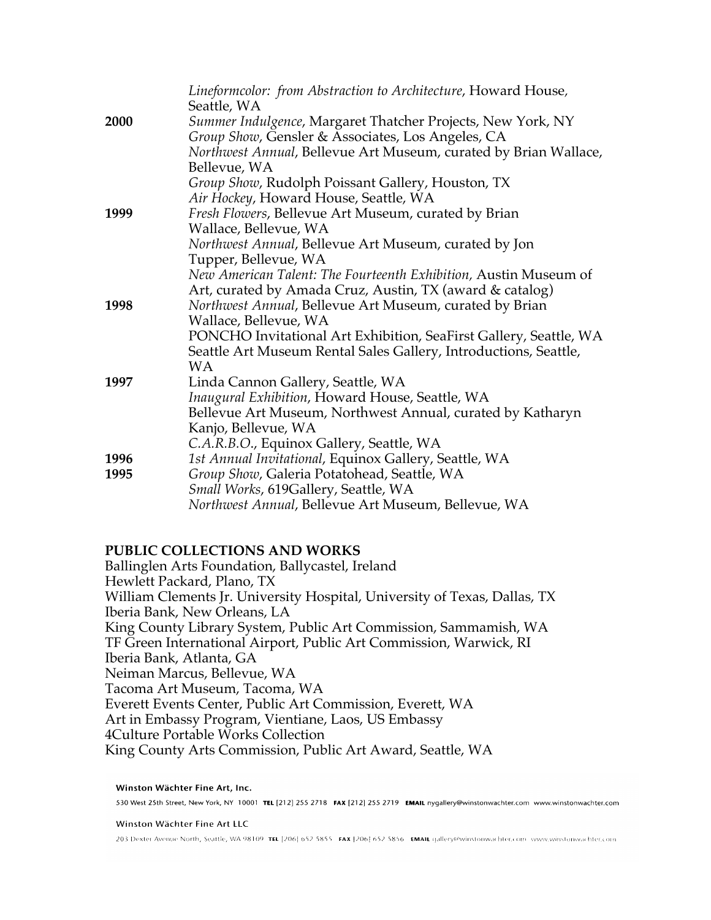|      | Lineformcolor: from Abstraction to Architecture, Howard House,<br>Seattle, WA                                    |
|------|------------------------------------------------------------------------------------------------------------------|
| 2000 | Summer Indulgence, Margaret Thatcher Projects, New York, NY<br>Group Show, Gensler & Associates, Los Angeles, CA |
|      | Northwest Annual, Bellevue Art Museum, curated by Brian Wallace,<br>Bellevue, WA                                 |
|      | Group Show, Rudolph Poissant Gallery, Houston, TX                                                                |
|      | Air Hockey, Howard House, Seattle, WA                                                                            |
| 1999 | Fresh Flowers, Bellevue Art Museum, curated by Brian                                                             |
|      | Wallace, Bellevue, WA                                                                                            |
|      | Northwest Annual, Bellevue Art Museum, curated by Jon                                                            |
|      | Tupper, Bellevue, WA                                                                                             |
|      | New American Talent: The Fourteenth Exhibition, Austin Museum of                                                 |
|      | Art, curated by Amada Cruz, Austin, TX (award & catalog)                                                         |
| 1998 | Northwest Annual, Bellevue Art Museum, curated by Brian                                                          |
|      | Wallace, Bellevue, WA                                                                                            |
|      | PONCHO Invitational Art Exhibition, SeaFirst Gallery, Seattle, WA                                                |
|      | Seattle Art Museum Rental Sales Gallery, Introductions, Seattle,                                                 |
|      | <b>WA</b>                                                                                                        |
| 1997 | Linda Cannon Gallery, Seattle, WA                                                                                |
|      | Inaugural Exhibition, Howard House, Seattle, WA                                                                  |
|      | Bellevue Art Museum, Northwest Annual, curated by Katharyn                                                       |
|      | Kanjo, Bellevue, WA                                                                                              |
| 1996 | C.A.R.B.O., Equinox Gallery, Seattle, WA<br>1st Annual Invitational, Equinox Gallery, Seattle, WA                |
| 1995 | Group Show, Galeria Potatohead, Seattle, WA                                                                      |
|      | Small Works, 619Gallery, Seattle, WA                                                                             |
|      | Northwest Annual, Bellevue Art Museum, Bellevue, WA                                                              |
|      |                                                                                                                  |

## **PUBLIC COLLECTIONS AND WORKS**

Ballinglen Arts Foundation, Ballycastel, Ireland Hewlett Packard, Plano, TX William Clements Jr. University Hospital, University of Texas, Dallas, TX Iberia Bank, New Orleans, LA King County Library System, Public Art Commission, Sammamish, WA TF Green International Airport, Public Art Commission, Warwick, RI Iberia Bank, Atlanta, GA Neiman Marcus, Bellevue, WA Tacoma Art Museum, Tacoma, WA Everett Events Center, Public Art Commission, Everett, WA Art in Embassy Program, Vientiane, Laos, US Embassy 4Culture Portable Works Collection King County Arts Commission, Public Art Award, Seattle, WA

Winston Wächter Fine Art, Inc. 530 West 25th Street, New York, NY 10001 TEL [212] 255 2718 FAX [212] 255 2719 EMAIL nygallery@winstonwachter.com www.winstonwachter.com

Winston Wächter Fine Art LLC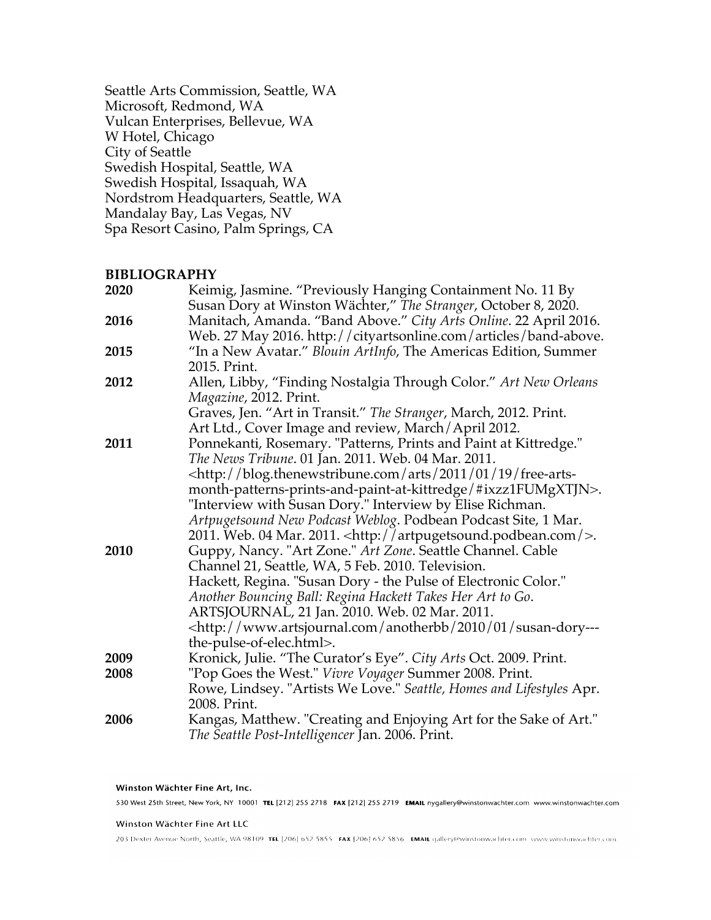Seattle Arts Commission, Seattle, WA Microsoft, Redmond, WA Vulcan Enterprises, Bellevue, WA W Hotel, Chicago City of Seattle Swedish Hospital, Seattle, WA Swedish Hospital, Issaquah, WA Nordstrom Headquarters, Seattle, WA Mandalay Bay, Las Vegas, NV Spa Resort Casino, Palm Springs, CA

### **BIBLIOGRAPHY**

| Keimig, Jasmine. "Previously Hanging Containment No. 11 By                                  |
|---------------------------------------------------------------------------------------------|
| Susan Dory at Winston Wächter," The Stranger, October 8, 2020.                              |
| Manitach, Amanda. "Band Above." City Arts Online. 22 April 2016.                            |
| Web. 27 May 2016. http://cityartsonline.com/articles/band-above.                            |
| "In a New Avatar." Blouin ArtInfo, The Americas Edition, Summer                             |
| 2015. Print.                                                                                |
| Allen, Libby, "Finding Nostalgia Through Color." Art New Orleans                            |
| Magazine, 2012. Print.                                                                      |
| Graves, Jen. "Art in Transit." The Stranger, March, 2012. Print.                            |
| Art Ltd., Cover Image and review, March/April 2012.                                         |
| Ponnekanti, Rosemary. "Patterns, Prints and Paint at Kittredge."                            |
| The News Tribune. 01 Jan. 2011. Web. 04 Mar. 2011.                                          |
| <http: 01="" 19="" 2011="" arts="" blog.thenewstribune.com="" free-arts-<="" td=""></http:> |
| month-patterns-prints-and-paint-at-kittredge/#ixzz1FUMgXTJN>.                               |
| "Interview with Susan Dory." Interview by Elise Richman.                                    |
| Artpugetsound New Podcast Weblog. Podbean Podcast Site, 1 Mar.                              |
| 2011. Web. 04 Mar. 2011. < http://artpugetsound.podbean.com/>.                              |
| Guppy, Nancy. "Art Zone." Art Zone. Seattle Channel. Cable                                  |
| Channel 21, Seattle, WA, 5 Feb. 2010. Television.                                           |
| Hackett, Regina. "Susan Dory - the Pulse of Electronic Color."                              |
| Another Bouncing Ball: Regina Hackett Takes Her Art to Go.                                  |
| ARTSJOURNAL, 21 Jan. 2010. Web. 02 Mar. 2011.                                               |
| -http://www.artsjournal.com/anotherbb/2010/01/susan-dory---                                 |
| the-pulse-of-elec.html>.                                                                    |
| Kronick, Julie. "The Curator's Eye". City Arts Oct. 2009. Print.                            |
| "Pop Goes the West." Vivre Voyager Summer 2008. Print.                                      |
| Rowe, Lindsey. "Artists We Love." Seattle, Homes and Lifestyles Apr.                        |
| 2008. Print.                                                                                |
| Kangas, Matthew. "Creating and Enjoying Art for the Sake of Art."                           |
| The Seattle Post-Intelligencer Jan. 2006. Print.                                            |
|                                                                                             |

#### Winston Wächter Fine Art, Inc.

530 West 25th Street, New York, NY 10001 TEL [212] 255 2718 FAX [212] 255 2719 EMAIL nygallery@winstonwachter.com www.winstonwachter.com

#### Winston Wächter Fine Art LLC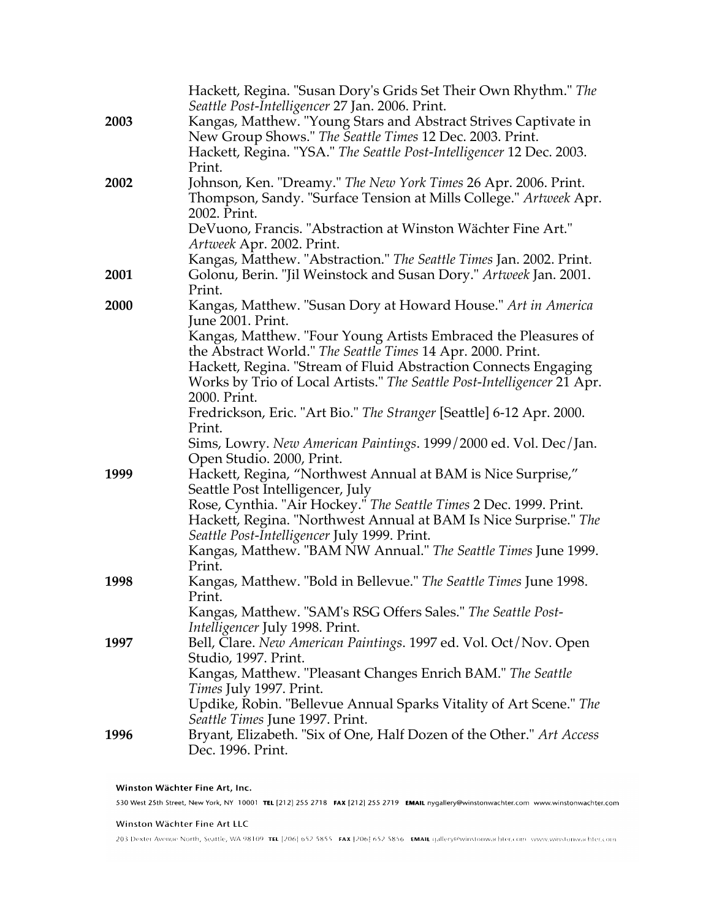|      | Hackett, Regina. "Susan Dory's Grids Set Their Own Rhythm." The<br>Seattle Post-Intelligencer 27 Jan. 2006. Print.                     |
|------|----------------------------------------------------------------------------------------------------------------------------------------|
| 2003 | Kangas, Matthew. "Young Stars and Abstract Strives Captivate in                                                                        |
|      | New Group Shows." The Seattle Times 12 Dec. 2003. Print.                                                                               |
|      | Hackett, Regina. "YSA." The Seattle Post-Intelligencer 12 Dec. 2003.                                                                   |
|      | Print.                                                                                                                                 |
| 2002 | Johnson, Ken. "Dreamy." The New York Times 26 Apr. 2006. Print.                                                                        |
|      | Thompson, Sandy. "Surface Tension at Mills College." Artweek Apr.                                                                      |
|      | 2002. Print.                                                                                                                           |
|      | DeVuono, Francis. "Abstraction at Winston Wächter Fine Art."                                                                           |
|      | Artweek Apr. 2002. Print.                                                                                                              |
|      | Kangas, Matthew. "Abstraction." The Seattle Times Jan. 2002. Print.                                                                    |
| 2001 | Golonu, Berin. "Jil Weinstock and Susan Dory." Artweek Jan. 2001.                                                                      |
|      | Print.                                                                                                                                 |
| 2000 | Kangas, Matthew. "Susan Dory at Howard House." Art in America                                                                          |
|      | June 2001. Print.                                                                                                                      |
|      | Kangas, Matthew. "Four Young Artists Embraced the Pleasures of                                                                         |
|      | the Abstract World." The Seattle Times 14 Apr. 2000. Print.                                                                            |
|      | Hackett, Regina. "Stream of Fluid Abstraction Connects Engaging                                                                        |
|      | Works by Trio of Local Artists." The Seattle Post-Intelligencer 21 Apr.                                                                |
|      | 2000. Print.                                                                                                                           |
|      | Fredrickson, Eric. "Art Bio." The Stranger [Seattle] 6-12 Apr. 2000.                                                                   |
|      | Print.                                                                                                                                 |
|      | Sims, Lowry. New American Paintings. 1999/2000 ed. Vol. Dec/Jan.                                                                       |
|      | Open Studio. 2000, Print.                                                                                                              |
| 1999 | Hackett, Regina, "Northwest Annual at BAM is Nice Surprise,"                                                                           |
|      | Seattle Post Intelligencer, July                                                                                                       |
|      | Rose, Cynthia. "Air Hockey." The Seattle Times 2 Dec. 1999. Print.<br>Hackett, Regina. "Northwest Annual at BAM Is Nice Surprise." The |
|      | Seattle Post-Intelligencer July 1999. Print.                                                                                           |
|      | Kangas, Matthew. "BAM NW Annual." The Seattle Times June 1999.                                                                         |
|      | Print.                                                                                                                                 |
| 1998 | Kangas, Matthew. "Bold in Bellevue." The Seattle Times June 1998.                                                                      |
|      | Print.                                                                                                                                 |
|      | Kangas, Matthew. "SAM's RSG Offers Sales." The Seattle Post-                                                                           |
|      | Intelligencer July 1998. Print.                                                                                                        |
| 1997 | Bell, Clare. New American Paintings. 1997 ed. Vol. Oct/Nov. Open                                                                       |
|      | Studio, 1997. Print.                                                                                                                   |
|      | Kangas, Matthew. "Pleasant Changes Enrich BAM." The Seattle                                                                            |
|      | Times July 1997. Print.                                                                                                                |
|      | Updike, Robin. "Bellevue Annual Sparks Vitality of Art Scene." The                                                                     |
|      | Seattle Times June 1997. Print.                                                                                                        |
| 1996 | Bryant, Elizabeth. "Six of One, Half Dozen of the Other." Art Access                                                                   |
|      | Dec. 1996. Print.                                                                                                                      |

Winston Wächter Fine Art, Inc. 530 West 25th Street, New York, NY 10001 TEL [212] 255 2718 FAX [212] 255 2719 EMAIL nygallery@winstonwachter.com www.winstonwachter.com

### Winston Wächter Fine Art LLC